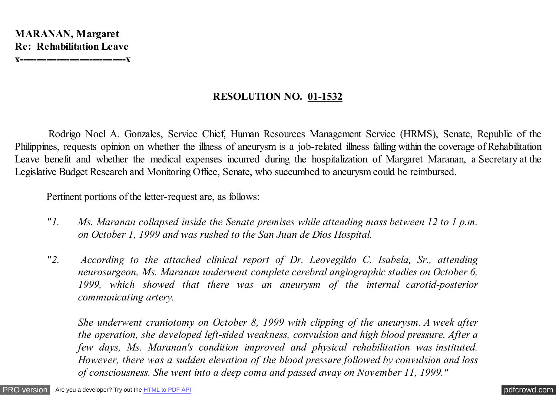**RESOLUTION NO. 01-1532**

 Rodrigo Noel A. Gonzales, Service Chief, Human Resources Management Service (HRMS), Senate, Republic of the Philippines, requests opinion on whether the illness of aneurysm is a job-related illness falling within the coverage of Rehabilitation Leave benefit and whether the medical expenses incurred during the hospitalization of Margaret Maranan, a Secretary at the Legislative Budget Research and Monitoring Office, Senate, who succumbed to aneurysm could be reimbursed.

Pertinent portions of the letter-request are, as follows:

- *"1. Ms. Maranan collapsed inside the Senate premises while attending mass between 12 to 1 p.m. on October 1, 1999 and was rushed to the San Juan de Dios Hospital.*
- *"2. According to the attached clinical report of Dr. Leovegildo C. Isabela, Sr., attending neurosurgeon, Ms. Maranan underwent complete cerebral angiographic studies on October 6, 1999, which showed that there was an aneurysm of the internal carotid-posterior communicating artery.*

*She underwent craniotomy on October 8, 1999 with clipping of the aneurysm. A week after the operation, she developed left-sided weakness, convulsion and high blood pressure. After a few days, Ms. Maranan's condition improved and physical rehabilitation was instituted. However, there was a sudden elevation of the blood pressure followed by convulsion and loss of consciousness. She went into a deep coma and passed away on November 11, 1999."*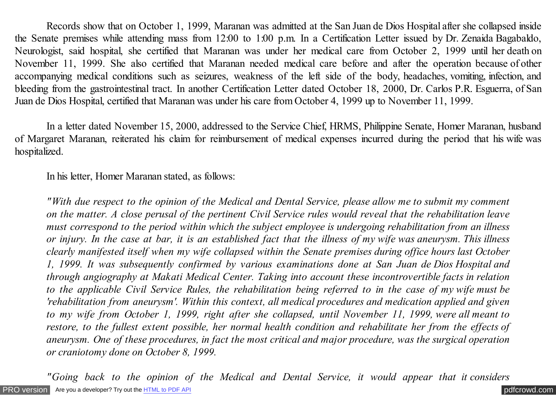Records show that on October 1, 1999, Maranan was admitted at the San Juan de Dios Hospital after she collapsed inside the Senate premises while attending mass from 12:00 to 1:00 p.m. In a Certification Letter issued by Dr. Zenaida Bagabaldo, Neurologist, said hospital, she certified that Maranan was under her medical care from October 2, 1999 until her death on November 11, 1999. She also certified that Maranan needed medical care before and after the operation because of other accompanying medical conditions such as seizures, weakness of the left side of the body, headaches, vomiting, infection, and bleeding from the gastrointestinal tract. In another Certification Letter dated October 18, 2000, Dr. Carlos P.R. Esguerra, of San Juan de Dios Hospital, certified that Maranan was under his care from October 4, 1999 up to November 11, 1999.

 In a letter dated November 15, 2000, addressed to the Service Chief, HRMS, Philippine Senate, Homer Maranan, husband of Margaret Maranan, reiterated his claim for reimbursement of medical expenses incurred during the period that his wife was hospitalized.

In his letter, Homer Maranan stated, as follows:

*"With due respect to the opinion of the Medical and Dental Service, please allow me to submit my comment on the matter. A close perusal of the pertinent Civil Service rules would reveal that the rehabilitation leave must correspond to the period within which the subject employee is undergoing rehabilitation from an illness or injury. In the case at bar, it is an established fact that the illness of my wife was aneurysm. This illness clearly manifested itself when my wife collapsed within the Senate premises during office hours last October 1, 1999. It was subsequently confirmed by various examinations done at San Juan de Dios Hospital and through angiography at Makati Medical Center. Taking into account these incontrovertible facts in relation to the applicable Civil Service Rules, the rehabilitation being referred to in the case of my wife must be 'rehabilitation from aneurysm'. Within this context, all medical procedures and medication applied and given to my wife from October 1, 1999, right after she collapsed, until November 11, 1999, were all meant to restore, to the fullest extent possible, her normal health condition and rehabilitate her from the effects of aneurysm. One of these procedures, in fact the most critical and major procedure, was the surgical operation or craniotomy done on October 8, 1999.*

[PRO version](http://pdfcrowd.com/customize/) Are you a developer? Try out th[e HTML to PDF API](http://pdfcrowd.com/html-to-pdf-api/?ref=pdf) [pdfcrowd.com](http://pdfcrowd.com) *"Going back to the opinion of the Medical and Dental Service, it would appear that it considers*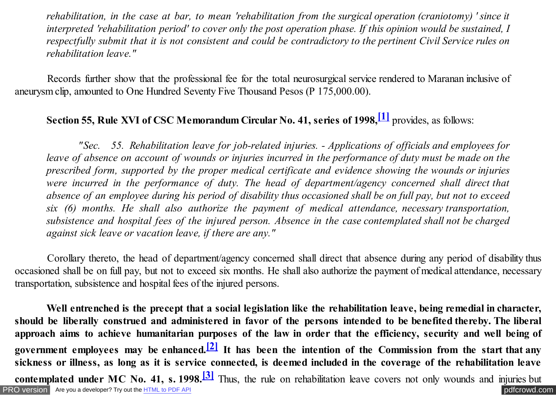<span id="page-2-0"></span>*rehabilitation, in the case at bar, to mean 'rehabilitation from the surgical operation (craniotomy) ' since it interpreted 'rehabilitation period' to cover only the post operation phase. If this opinion would be sustained, I respectfully submit that it is not consistent and could be contradictory to the pertinent Civil Service rules on rehabilitation leave."*

 Records further show that the professional fee for the total neurosurgical service rendered to Maranan inclusive of aneurysm clip, amounted to One Hundred Seventy Five Thousand Pesos (P 175,000.00).

## **Section 55, Rule XVI of CSC Memorandum Circular No. 41, series of 1998,[\[1\]](#page-6-0)** provides, as follows:

 *"Sec. 55. Rehabilitation leave for job-related injuries. - Applications of officials and employees for leave of absence on account of wounds or injuries incurred in the performance of duty must be made on the prescribed form, supported by the proper medical certificate and evidence showing the wounds or injuries were incurred in the performance of duty. The head of department/agency concerned shall direct that absence of an employee during his period of disability thus occasioned shall be on full pay, but not to exceed six (6) months. He shall also authorize the payment of medical attendance, necessary transportation, subsistence and hospital fees of the injured person. Absence in the case contemplated shall not be charged against sick leave or vacation leave, if there are any."*

 Corollary thereto, the head of department/agency concerned shall direct that absence during any period of disability thus occasioned shall be on full pay, but not to exceed six months. He shall also authorize the payment of medical attendance, necessary transportation, subsistence and hospital fees of the injured persons.

[PRO version](http://pdfcrowd.com/customize/) Are you a developer? Try out th[e HTML to PDF API](http://pdfcrowd.com/html-to-pdf-api/?ref=pdf) contract the CHTML of PDF API [pdfcrowd.com](http://pdfcrowd.com) **Well entrenched is the precept that a social legislation like the rehabilitation leave, being remedial in character, should be liberally construed and administered in favor of the persons intended to be benefited thereby. The liberal approach aims to achieve humanitarian purposes of the law in order that the efficiency, security and well being of government employees may be enhanced[.\[2\]](#page-6-0) It has been the intention of the Commission from the start that any sickness or illness, as long as it is service connected, is deemed included in the coverage of the rehabilitation leave contemplated under MC No. 41, s. 1998.[\[3\]](#page-6-0)** Thus, the rule on rehabilitation leave covers not only wounds and injuries but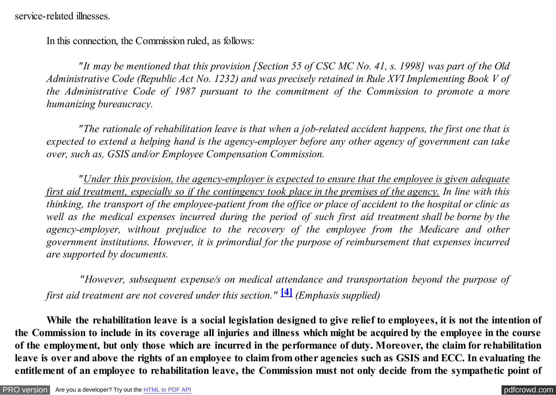<span id="page-3-0"></span>service-related illnesses.

In this connection, the Commission ruled, as follows:

 *"It may be mentioned that this provision [Section 55 of CSC MC No. 41, s. 1998] was part of the Old Administrative Code (Republic Act No. 1232) and was precisely retained in Rule XVI Implementing Book V of the Administrative Code of 1987 pursuant to the commitment of the Commission to promote a more humanizing bureaucracy.*

 *"The rationale of rehabilitation leave is that when a job-related accident happens, the first one that is expected to extend a helping hand is the agency-employer before any other agency of government can take over, such as, GSIS and/or Employee Compensation Commission.*

 *"Under this provision, the agency-employer is expected to ensure that the employee is given adequate first aid treatment, especially so if the contingency took place in the premises of the agency. In line with this thinking, the transport of the employee-patient from the office or place of accident to the hospital or clinic as well as the medical expenses incurred during the period of such first aid treatment shall be borne by the agency-employer, without prejudice to the recovery of the employee from the Medicare and other government institutions. However, it is primordial for the purpose of reimbursement that expenses incurred are supported by documents.*

 *"However, subsequent expense/s on medical attendance and transportation beyond the purpose of first aid treatment are not covered under this section."* **[\[4\]](#page-6-0)** *(Emphasis supplied)*

 **While the rehabilitation leave is a social legislation designed to give relief to employees, it is not the intention of the Commission to include in its coverage all injuries and illness which might be acquired by the employee in the course of the employment, but only those which are incurred in the performance of duty. Moreover, the claim for rehabilitation leave is over and above the rights of an employee to claim from other agencies such as GSIS and ECC. In evaluating the entitlement of an employee to rehabilitation leave, the Commission must not only decide from the sympathetic point of**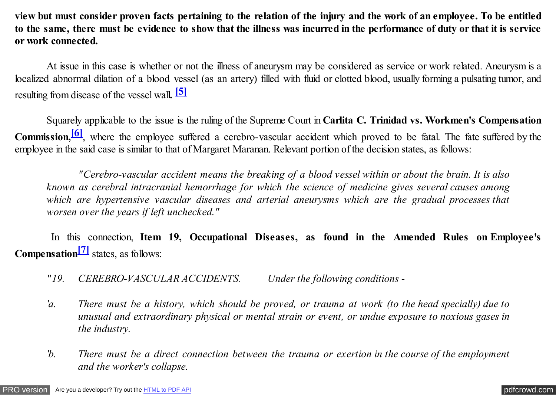<span id="page-4-0"></span>**view but must consider proven facts pertaining to the relation of the injury and the work of an employee. To be entitled to the same, there must be evidence to show that the illness was incurred in the performance of duty or that it is service or work connected.**

 At issue in this case is whether or not the illness of aneurysm may be considered as service or work related. Aneurysm is a localized abnormal dilation of a blood vessel (as an artery) filled with fluid or clotted blood, usually forming a pulsating tumor, and resulting from disease of the vessel wall**. [\[5\]](#page-6-0)**

 Squarely applicable to the issue is the ruling of the Supreme Court in **Carlita C. Trinidad vs. Workmen's Compensation Commission,[\[6\]](#page-6-0)**, where the employee suffered a cerebro-vascular accident which proved to be fatal. The fate suffered by the employee in the said case is similar to that of Margaret Maranan. Relevant portion of the decision states, as follows:

 *"Cerebro-vascular accident means the breaking of a blood vessel within or about the brain. It is also known as cerebral intracranial hemorrhage for which the science of medicine gives several causes among which are hypertensive vascular diseases and arterial aneurysms which are the gradual processes that worsen over the years if left unchecked."*

 In this connection, **Item 19, Occupational Diseases, as found in the Amended Rules on Employee's Compensatio[n\[7\]](#page-6-0)** states, as follows:

- *"19. CEREBRO-VASCULAR ACCIDENTS. Under the following conditions -*
- *'a. There must be a history, which should be proved, or trauma at work (to the head specially) due to unusual and extraordinary physical or mental strain or event, or undue exposure to noxious gases in the industry.*
- *'b. There must be a direct connection between the trauma or exertion in the course of the employment and the worker's collapse.*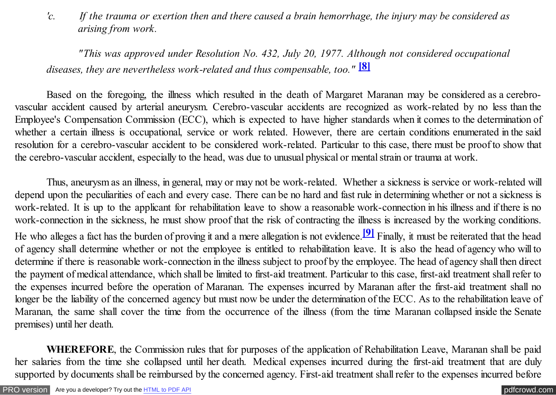<span id="page-5-0"></span>*'c. If the trauma or exertion then and there caused a brain hemorrhage, the injury may be considered as arising from work.*

*"This was approved under Resolution No. 432, July 20, 1977. Although not considered occupational diseases, they are nevertheless work-related and thus compensable, too."* **[\[8\]](#page-6-0)**

Based on the foregoing, the illness which resulted in the death of Margaret Maranan may be considered as a cerebrovascular accident caused by arterial aneurysm. Cerebro-vascular accidents are recognized as work-related by no less than the Employee's Compensation Commission (ECC), which is expected to have higher standards when it comes to the determination of whether a certain illness is occupational, service or work related. However, there are certain conditions enumerated in the said resolution for a cerebro-vascular accident to be considered work-related. Particular to this case, there must be proof to show that the cerebro-vascular accident, especially to the head, was due to unusual physical or mental strain or trauma at work.

Thus, aneurysm as an illness, in general, may or may not be work-related. Whether a sickness is service or work-related will depend upon the peculiarities of each and every case. There can be no hard and fast rule in determining whether or not a sickness is work-related. It is up to the applicant for rehabilitation leave to show a reasonable work-connection in his illness and if there is no work-connection in the sickness, he must show proof that the risk of contracting the illness is increased by the working conditions. He who alleges a fact has the burden of proving it and a mere allegation is not evidence.**[\[9\]](#page-6-0)** Finally, it must be reiterated that the head of agency shall determine whether or not the employee is entitled to rehabilitation leave. It is also the head of agency who will to determine if there is reasonable work-connection in the illness subject to proof by the employee. The head of agency shall then direct the payment of medical attendance, which shall be limited to first-aid treatment. Particular to this case, first-aid treatment shall refer to the expenses incurred before the operation of Maranan. The expenses incurred by Maranan after the first-aid treatment shall no longer be the liability of the concerned agency but must now be under the determination of the ECC. As to the rehabilitation leave of Maranan, the same shall cover the time from the occurrence of the illness (from the time Maranan collapsed inside the Senate premises) until her death.

 **WHEREFORE**, the Commission rules that for purposes of the application of Rehabilitation Leave, Maranan shall be paid her salaries from the time she collapsed until her death. Medical expenses incurred during the first-aid treatment that are duly supported by documents shall be reimbursed by the concerned agency. First-aid treatment shall refer to the expenses incurred before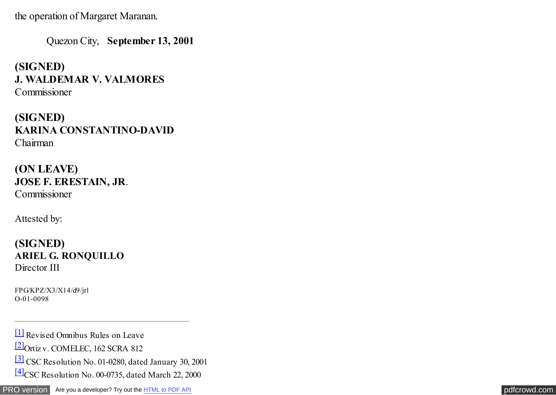<span id="page-6-0"></span>the operation of Margaret Maranan.

Quezon City, **September 13, 2001**

**(SIGNED) J. WALDEMAR V. VALMORES** Commissioner

**(SIGNED) KARINA CONSTANTINO-DAVID** Chairman

**(ON LEAVE) JOSE F. ERESTAIN, JR** . Commissioner

Attested by:

**(SIGNED) ARIEL G. RONQUILLO** Director III

FPG/KPZ/X3/X14/d9/jrl O-01-0098

[\[1\]](#page-2-0) Revised Omnibus Rules on Leave

[\[2\]O](#page-2-0)rtiz v. COMELEC, 162 SCRA 812

[\[3\]](#page-2-0) CSC Resolution No. 01-0280, dated January 30, 2001

[\[4\]C](#page-3-0)SC Resolution No. 00-0735, dated March 22, 2000

[PRO version](http://pdfcrowd.com/customize/) Are you a developer? Try out th[e HTML to PDF API](http://pdfcrowd.com/html-to-pdf-api/?ref=pdf) **produces** and the extent of the ATML to PDF API [pdfcrowd.com](http://pdfcrowd.com)